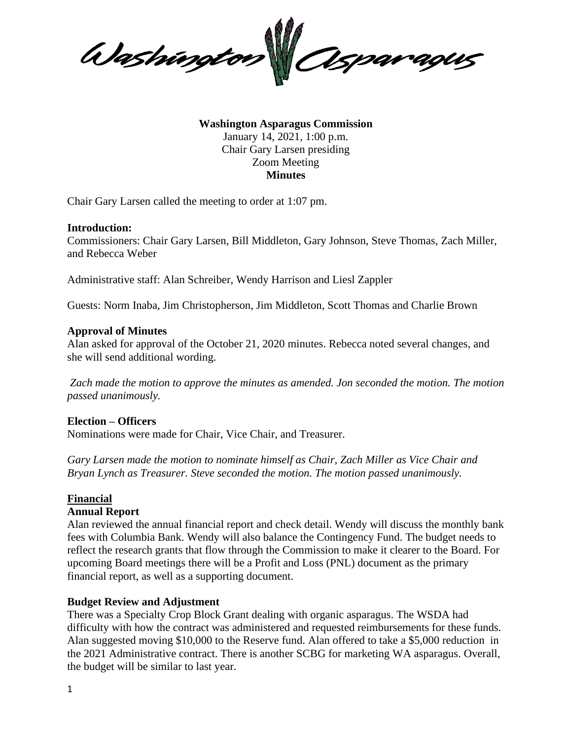

**Washington Asparagus Commission** January 14, 2021, 1:00 p.m. Chair Gary Larsen presiding Zoom Meeting **Minutes**

Chair Gary Larsen called the meeting to order at 1:07 pm.

#### **Introduction:**

Commissioners: Chair Gary Larsen, Bill Middleton, Gary Johnson, Steve Thomas, Zach Miller, and Rebecca Weber

Administrative staff: Alan Schreiber, Wendy Harrison and Liesl Zappler

Guests: Norm Inaba, Jim Christopherson, Jim Middleton, Scott Thomas and Charlie Brown

#### **Approval of Minutes**

Alan asked for approval of the October 21, 2020 minutes. Rebecca noted several changes, and she will send additional wording.

*Zach made the motion to approve the minutes as amended. Jon seconded the motion. The motion passed unanimously.*

#### **Election – Officers**

Nominations were made for Chair, Vice Chair, and Treasurer.

*Gary Larsen made the motion to nominate himself as Chair, Zach Miller as Vice Chair and Bryan Lynch as Treasurer. Steve seconded the motion. The motion passed unanimously.*

#### **Financial**

#### **Annual Report**

Alan reviewed the annual financial report and check detail. Wendy will discuss the monthly bank fees with Columbia Bank. Wendy will also balance the Contingency Fund. The budget needs to reflect the research grants that flow through the Commission to make it clearer to the Board. For upcoming Board meetings there will be a Profit and Loss (PNL) document as the primary financial report, as well as a supporting document.

## **Budget Review and Adjustment**

There was a Specialty Crop Block Grant dealing with organic asparagus. The WSDA had difficulty with how the contract was administered and requested reimbursements for these funds. Alan suggested moving \$10,000 to the Reserve fund. Alan offered to take a \$5,000 reduction in the 2021 Administrative contract. There is another SCBG for marketing WA asparagus. Overall, the budget will be similar to last year.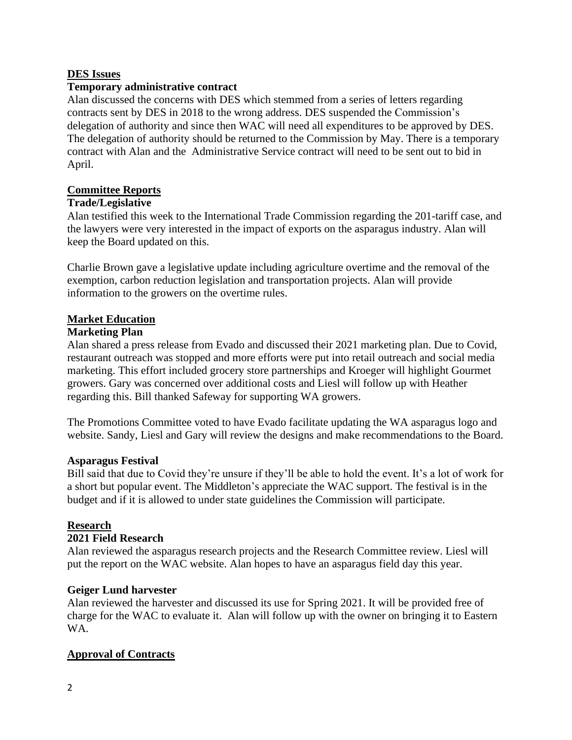## **DES Issues**

## **Temporary administrative contract**

Alan discussed the concerns with DES which stemmed from a series of letters regarding contracts sent by DES in 2018 to the wrong address. DES suspended the Commission's delegation of authority and since then WAC will need all expenditures to be approved by DES. The delegation of authority should be returned to the Commission by May. There is a temporary contract with Alan and the Administrative Service contract will need to be sent out to bid in April.

### **Committee Reports**

#### **Trade/Legislative**

Alan testified this week to the International Trade Commission regarding the 201-tariff case, and the lawyers were very interested in the impact of exports on the asparagus industry. Alan will keep the Board updated on this.

Charlie Brown gave a legislative update including agriculture overtime and the removal of the exemption, carbon reduction legislation and transportation projects. Alan will provide information to the growers on the overtime rules.

## **Market Education**

#### **Marketing Plan**

Alan shared a press release from Evado and discussed their 2021 marketing plan. Due to Covid, restaurant outreach was stopped and more efforts were put into retail outreach and social media marketing. This effort included grocery store partnerships and Kroeger will highlight Gourmet growers. Gary was concerned over additional costs and Liesl will follow up with Heather regarding this. Bill thanked Safeway for supporting WA growers.

The Promotions Committee voted to have Evado facilitate updating the WA asparagus logo and website. Sandy, Liesl and Gary will review the designs and make recommendations to the Board.

#### **Asparagus Festival**

Bill said that due to Covid they're unsure if they'll be able to hold the event. It's a lot of work for a short but popular event. The Middleton's appreciate the WAC support. The festival is in the budget and if it is allowed to under state guidelines the Commission will participate.

#### **Research**

#### **2021 Field Research**

Alan reviewed the asparagus research projects and the Research Committee review. Liesl will put the report on the WAC website. Alan hopes to have an asparagus field day this year.

#### **Geiger Lund harvester**

Alan reviewed the harvester and discussed its use for Spring 2021. It will be provided free of charge for the WAC to evaluate it. Alan will follow up with the owner on bringing it to Eastern WA.

## **Approval of Contracts**